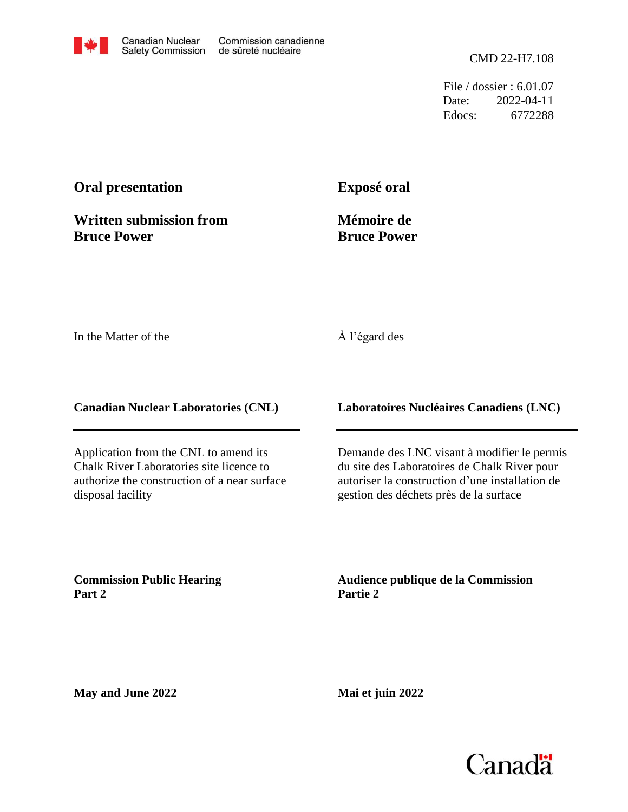File / dossier : 6.01.07 Date: 2022-04-11 Edocs: 6772288

## **Oral presentation**

**Written submission from Bruce Power**

**Exposé oral**

**Mémoire de Bruce Power**

In the Matter of the

## À l'égard des

**Canadian Nuclear Laboratories (CNL)**

Application from the CNL to amend its Chalk River Laboratories site licence to authorize the construction of a near surface disposal facility

**Laboratoires Nucléaires Canadiens (LNC)**

Demande des LNC visant à modifier le permis du site des Laboratoires de Chalk River pour autoriser la construction d'une installation de gestion des déchets près de la surface

**Commission Public Hearing Part 2**

**Audience publique de la Commission Partie 2**

**May and June 2022**

**Mai et juin 2022**

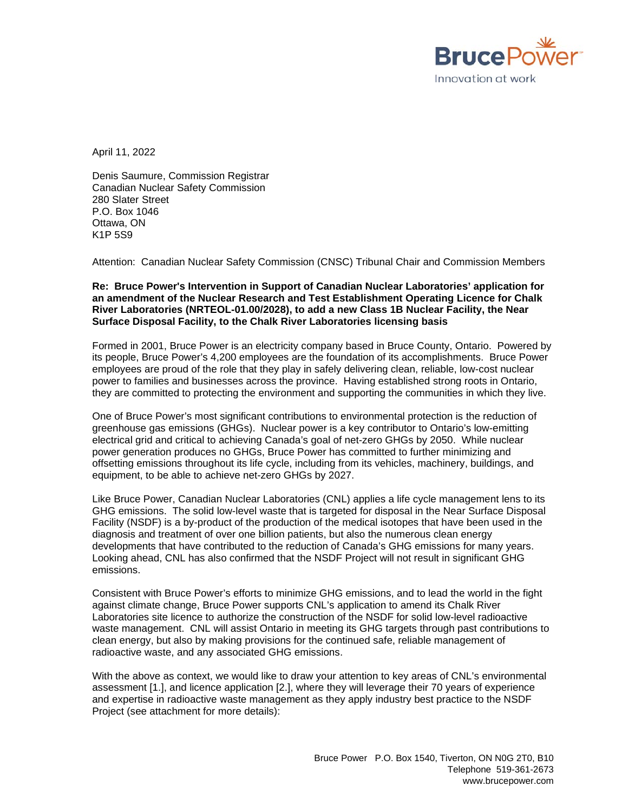

April 11, 2022

Denis Saumure, Commission Registrar Canadian Nuclear Safety Commission 280 Slater Street P.O. Box 1046 Ottawa, ON K1P 5S9

Attention: Canadian Nuclear Safety Commission (CNSC) Tribunal Chair and Commission Members

**Re: Bruce Power's Intervention in Support of Canadian Nuclear Laboratories' application for an amendment of the Nuclear Research and Test Establishment Operating Licence for Chalk River Laboratories (NRTEOL-01.00/2028), to add a new Class 1B Nuclear Facility, the Near Surface Disposal Facility, to the Chalk River Laboratories licensing basis**

Formed in 2001, Bruce Power is an electricity company based in Bruce County, Ontario. Powered by its people, Bruce Power's 4,200 employees are the foundation of its accomplishments. Bruce Power employees are proud of the role that they play in safely delivering clean, reliable, low-cost nuclear power to families and businesses across the province. Having established strong roots in Ontario, they are committed to protecting the environment and supporting the communities in which they live.

One of Bruce Power's most significant contributions to environmental protection is the reduction of greenhouse gas emissions (GHGs). Nuclear power is a key contributor to Ontario's low-emitting electrical grid and critical to achieving Canada's goal of net-zero GHGs by 2050. While nuclear power generation produces no GHGs, Bruce Power has committed to further minimizing and offsetting emissions throughout its life cycle, including from its vehicles, machinery, buildings, and equipment, to be able to achieve net-zero GHGs by 2027.

Like Bruce Power, Canadian Nuclear Laboratories (CNL) applies a life cycle management lens to its GHG emissions. The solid low-level waste that is targeted for disposal in the Near Surface Disposal Facility (NSDF) is a by-product of the production of the medical isotopes that have been used in the diagnosis and treatment of over one billion patients, but also the numerous clean energy developments that have contributed to the reduction of Canada's GHG emissions for many years. Looking ahead, CNL has also confirmed that the NSDF Project will not result in significant GHG emissions.

Consistent with Bruce Power's efforts to minimize GHG emissions, and to lead the world in the fight against climate change, Bruce Power supports CNL's application to amend its Chalk River Laboratories site licence to authorize the construction of the NSDF for solid low-level radioactive waste management. CNL will assist Ontario in meeting its GHG targets through past contributions to clean energy, but also by making provisions for the continued safe, reliable management of radioactive waste, and any associated GHG emissions.

With the above as context, we would like to draw your attention to key areas of CNL's environmental assessment [\[1.\],](#page-3-0) and licence application [\[2.\],](#page-3-1) where they will leverage their 70 years of experience and expertise in radioactive waste management as they apply industry best practice to the NSDF Project (see attachment for more details):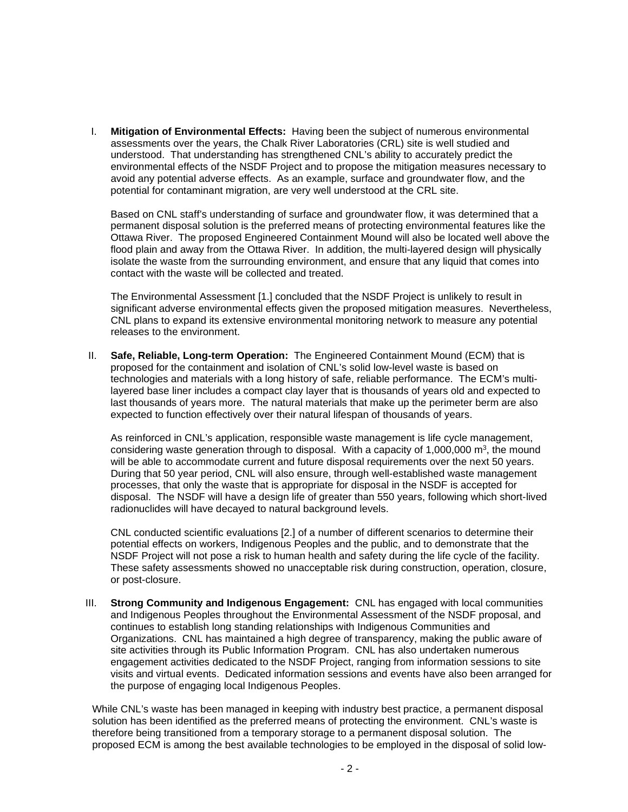I. **Mitigation of Environmental Effects:** Having been the subject of numerous environmental assessments over the years, the Chalk River Laboratories (CRL) site is well studied and understood. That understanding has strengthened CNL's ability to accurately predict the environmental effects of the NSDF Project and to propose the mitigation measures necessary to avoid any potential adverse effects. As an example, surface and groundwater flow, and the potential for contaminant migration, are very well understood at the CRL site.

Based on CNL staff's understanding of surface and groundwater flow, it was determined that a permanent disposal solution is the preferred means of protecting environmental features like the Ottawa River. The proposed Engineered Containment Mound will also be located well above the flood plain and away from the Ottawa River. In addition, the multi-layered design will physically isolate the waste from the surrounding environment, and ensure that any liquid that comes into contact with the waste will be collected and treated.

The Environmental Assessment [\[1.\]](#page-3-0) concluded that the NSDF Project is unlikely to result in significant adverse environmental effects given the proposed mitigation measures. Nevertheless, CNL plans to expand its extensive environmental monitoring network to measure any potential releases to the environment.

II. **Safe, Reliable, Long-term Operation:** The Engineered Containment Mound (ECM) that is proposed for the containment and isolation of CNL's solid low-level waste is based on technologies and materials with a long history of safe, reliable performance. The ECM's multilayered base liner includes a compact clay layer that is thousands of years old and expected to last thousands of years more. The natural materials that make up the perimeter berm are also expected to function effectively over their natural lifespan of thousands of years.

As reinforced in CNL's application, responsible waste management is life cycle management, considering waste generation through to disposal. With a capacity of  $1,000,000$  m<sup>3</sup>, the mound will be able to accommodate current and future disposal requirements over the next 50 years. During that 50 year period, CNL will also ensure, through well-established waste management processes, that only the waste that is appropriate for disposal in the NSDF is accepted for disposal. The NSDF will have a design life of greater than 550 years, following which short-lived radionuclides will have decayed to natural background levels.

CNL conducted scientific evaluations [\[2.\]](#page-3-1) of a number of different scenarios to determine their potential effects on workers, Indigenous Peoples and the public, and to demonstrate that the NSDF Project will not pose a risk to human health and safety during the life cycle of the facility. These safety assessments showed no unacceptable risk during construction, operation, closure, or post-closure.

III. **Strong Community and Indigenous Engagement:** CNL has engaged with local communities and Indigenous Peoples throughout the Environmental Assessment of the NSDF proposal, and continues to establish long standing relationships with Indigenous Communities and Organizations. CNL has maintained a high degree of transparency, making the public aware of site activities through its Public Information Program. CNL has also undertaken numerous engagement activities dedicated to the NSDF Project, ranging from information sessions to site visits and virtual events. Dedicated information sessions and events have also been arranged for the purpose of engaging local Indigenous Peoples.

While CNL's waste has been managed in keeping with industry best practice, a permanent disposal solution has been identified as the preferred means of protecting the environment. CNL's waste is therefore being transitioned from a temporary storage to a permanent disposal solution. The proposed ECM is among the best available technologies to be employed in the disposal of solid low-